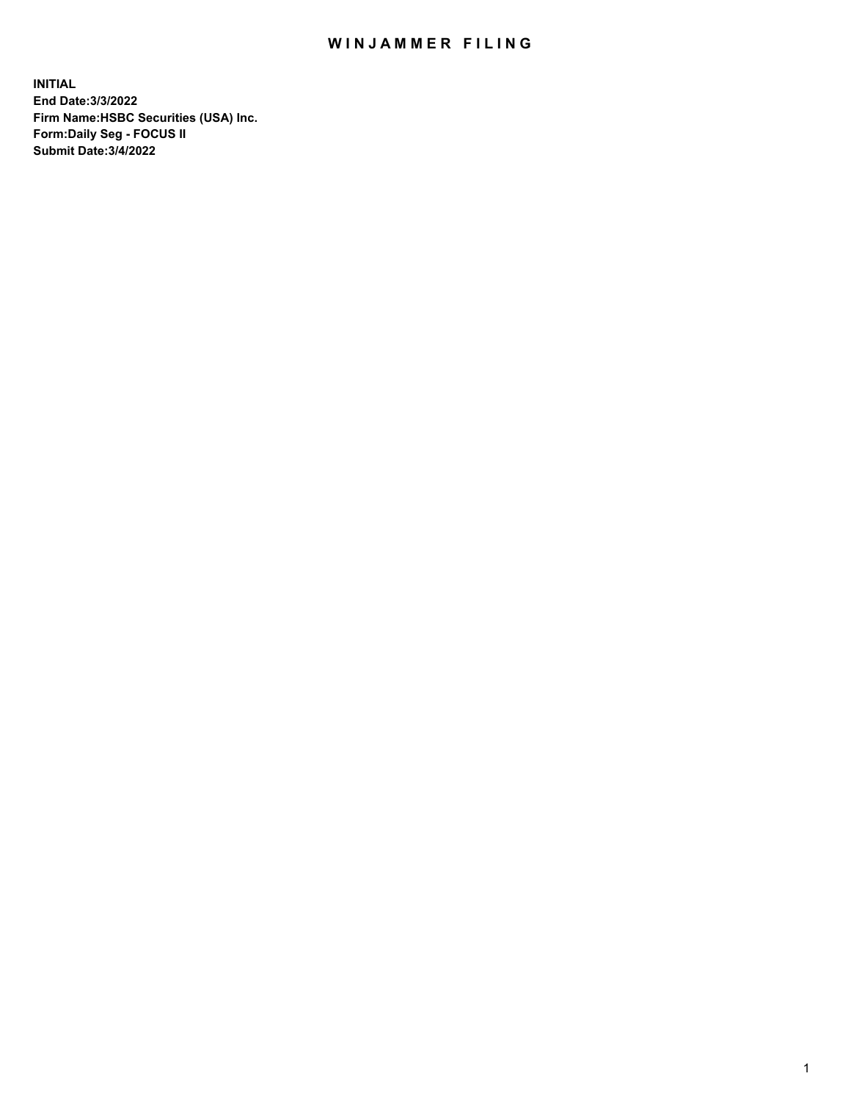## WIN JAMMER FILING

**INITIAL End Date:3/3/2022 Firm Name:HSBC Securities (USA) Inc. Form:Daily Seg - FOCUS II Submit Date:3/4/2022**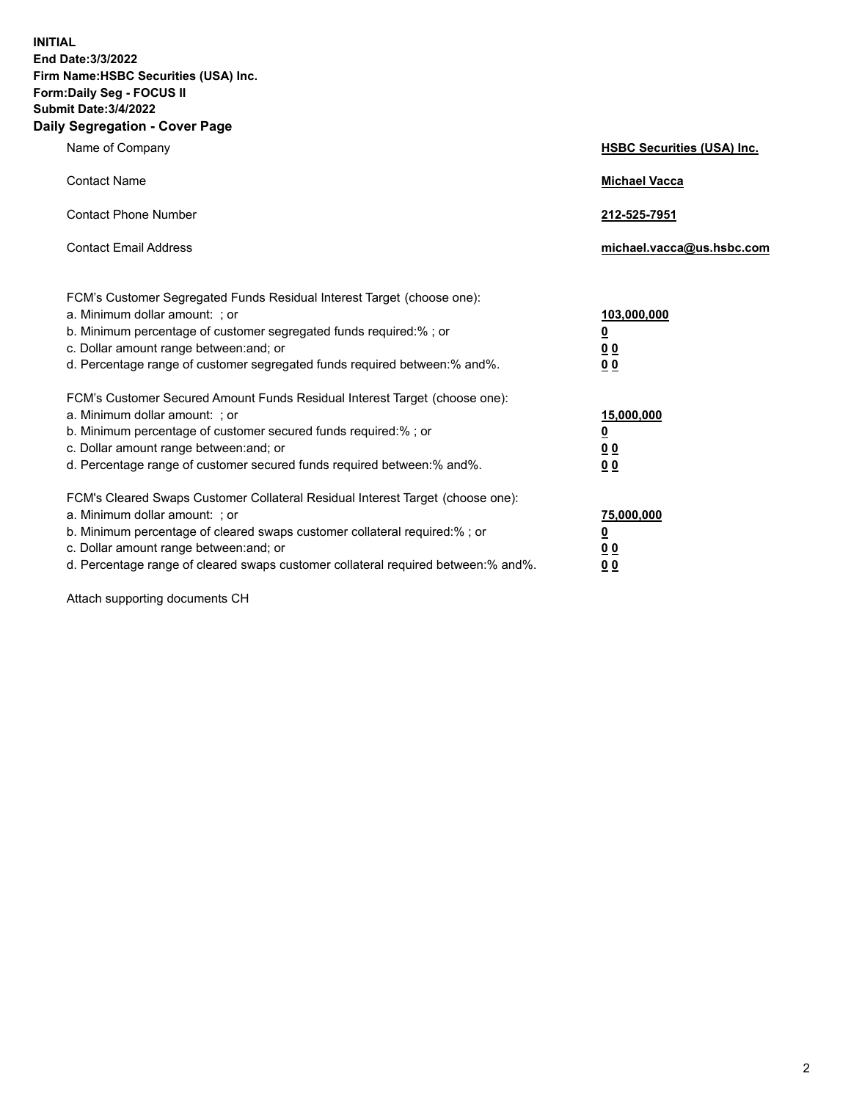**INITIAL End Date:3/3/2022 Firm Name:HSBC Securities (USA) Inc. Form:Daily Seg - FOCUS II Submit Date:3/4/2022 Daily Segregation - Cover Page**

| Name of Company                                                                                                                                                                                                                                                                                                                | <b>HSBC Securities (USA) Inc.</b>               |
|--------------------------------------------------------------------------------------------------------------------------------------------------------------------------------------------------------------------------------------------------------------------------------------------------------------------------------|-------------------------------------------------|
| <b>Contact Name</b>                                                                                                                                                                                                                                                                                                            | <b>Michael Vacca</b>                            |
| <b>Contact Phone Number</b>                                                                                                                                                                                                                                                                                                    | 212-525-7951                                    |
| <b>Contact Email Address</b>                                                                                                                                                                                                                                                                                                   | michael.vacca@us.hsbc.com                       |
| FCM's Customer Segregated Funds Residual Interest Target (choose one):<br>a. Minimum dollar amount: ; or<br>b. Minimum percentage of customer segregated funds required:%; or<br>c. Dollar amount range between: and; or<br>d. Percentage range of customer segregated funds required between:% and%.                          | 103,000,000<br><u>0</u><br>0 <sub>0</sub><br>00 |
| FCM's Customer Secured Amount Funds Residual Interest Target (choose one):<br>a. Minimum dollar amount: ; or<br>b. Minimum percentage of customer secured funds required:%; or<br>c. Dollar amount range between: and; or<br>d. Percentage range of customer secured funds required between:% and%.                            | 15,000,000<br><u>0</u><br>0 <sub>0</sub><br>00  |
| FCM's Cleared Swaps Customer Collateral Residual Interest Target (choose one):<br>a. Minimum dollar amount: ; or<br>b. Minimum percentage of cleared swaps customer collateral required:% ; or<br>c. Dollar amount range between: and; or<br>d. Percentage range of cleared swaps customer collateral required between:% and%. | 75,000,000<br><u>0</u><br><u>00</u><br>00       |

Attach supporting documents CH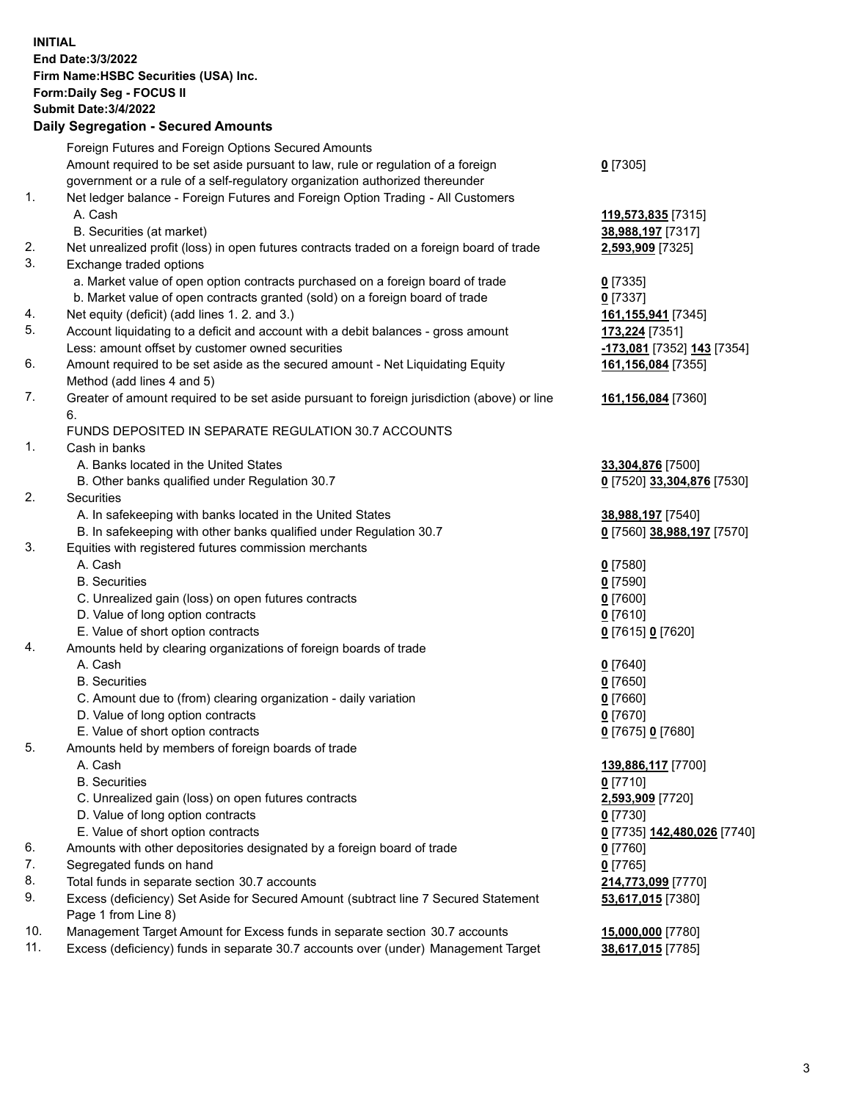**INITIAL End Date:3/3/2022 Firm Name:HSBC Securities (USA) Inc. Form:Daily Seg - FOCUS II Submit Date:3/4/2022 Daily Segregation - Secured Amounts** Foreign Futures and Foreign Options Secured Amounts Amount required to be set aside pursuant to law, rule or regulation of a foreign government or a rule of a self-regulatory organization authorized thereunder **0** [7305] 1. Net ledger balance - Foreign Futures and Foreign Option Trading - All Customers A. Cash **119,573,835** [7315] B. Securities (at market) **38,988,197** [7317] 2. Net unrealized profit (loss) in open futures contracts traded on a foreign board of trade **2,593,909** [7325] 3. Exchange traded options a. Market value of open option contracts purchased on a foreign board of trade **0** [7335] b. Market value of open contracts granted (sold) on a foreign board of trade **0** [7337] 4. Net equity (deficit) (add lines 1. 2. and 3.) **161,155,941** [7345] 5. Account liquidating to a deficit and account with a debit balances - gross amount **173,224** [7351] Less: amount offset by customer owned securities **-173,081** [7352] **143** [7354] 6. Amount required to be set aside as the secured amount - Net Liquidating Equity Method (add lines 4 and 5) **161,156,084** [7355] 7. Greater of amount required to be set aside pursuant to foreign jurisdiction (above) or line 6. **161,156,084** [7360] FUNDS DEPOSITED IN SEPARATE REGULATION 30.7 ACCOUNTS 1. Cash in banks A. Banks located in the United States **33,304,876** [7500] B. Other banks qualified under Regulation 30.7 **0** [7520] **33,304,876** [7530] 2. Securities A. In safekeeping with banks located in the United States **38,988,197** [7540] B. In safekeeping with other banks qualified under Regulation 30.7 **0** [7560] **38,988,197** [7570] 3. Equities with registered futures commission merchants A. Cash **0** [7580] B. Securities **0** [7590] C. Unrealized gain (loss) on open futures contracts **0** [7600] D. Value of long option contracts **0** [7610] E. Value of short option contracts **0** [7615] **0** [7620] 4. Amounts held by clearing organizations of foreign boards of trade A. Cash **0** [7640] B. Securities **0** [7650] C. Amount due to (from) clearing organization - daily variation **0** [7660] D. Value of long option contracts **0** [7670] E. Value of short option contracts **0** [7675] **0** [7680] 5. Amounts held by members of foreign boards of trade A. Cash **139,886,117** [7700] B. Securities **0** [7710] C. Unrealized gain (loss) on open futures contracts **2,593,909** [7720] D. Value of long option contracts **0** [7730] E. Value of short option contracts **0** [7735] **142,480,026** [7740] 6. Amounts with other depositories designated by a foreign board of trade **0** [7760] 7. Segregated funds on hand **0** [7765] 8. Total funds in separate section 30.7 accounts **214,773,099** [7770] 9. Excess (deficiency) Set Aside for Secured Amount (subtract line 7 Secured Statement Page 1 from Line 8) **53,617,015** [7380] 10. Management Target Amount for Excess funds in separate section 30.7 accounts **15,000,000** [7780] 11. Excess (deficiency) funds in separate 30.7 accounts over (under) Management Target **38,617,015** [7785]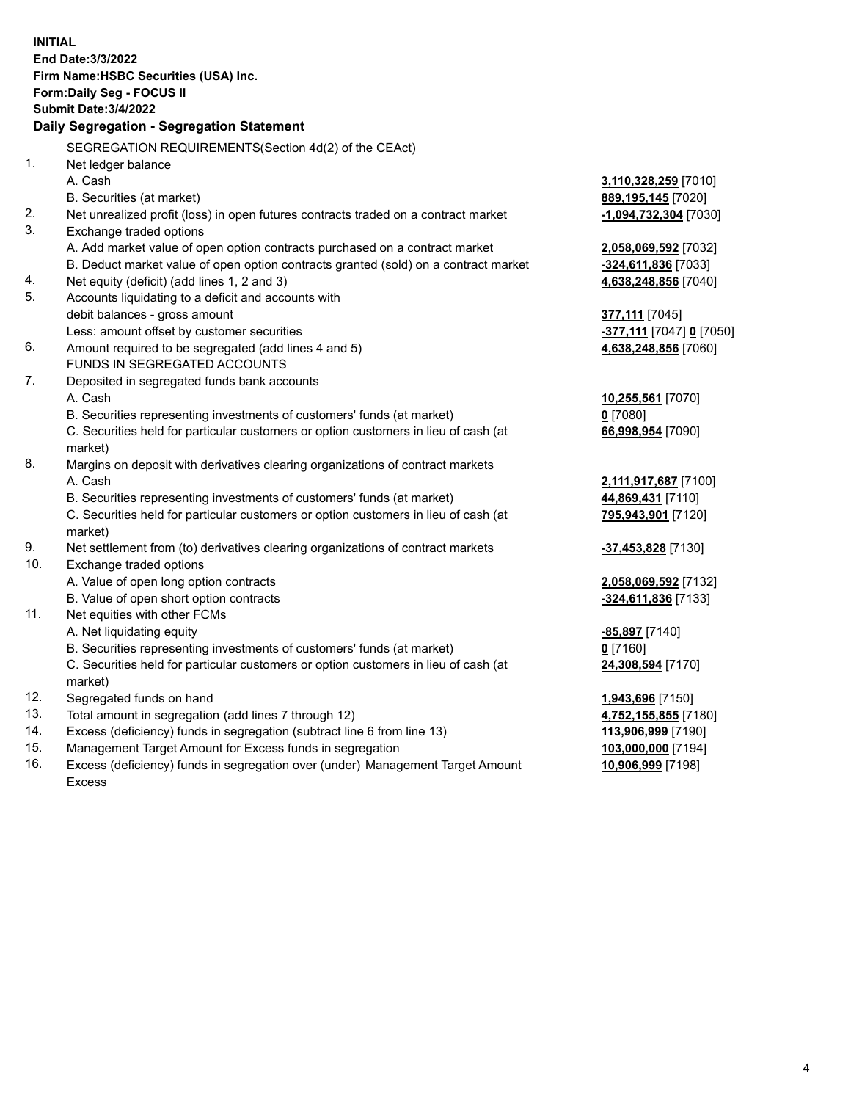| <b>INITIAL</b> |                                                                                     |                                              |
|----------------|-------------------------------------------------------------------------------------|----------------------------------------------|
|                | <b>End Date: 3/3/2022</b>                                                           |                                              |
|                | Firm Name: HSBC Securities (USA) Inc.                                               |                                              |
|                | Form: Daily Seg - FOCUS II                                                          |                                              |
|                | <b>Submit Date: 3/4/2022</b>                                                        |                                              |
|                | Daily Segregation - Segregation Statement                                           |                                              |
|                | SEGREGATION REQUIREMENTS(Section 4d(2) of the CEAct)                                |                                              |
| 1.             | Net ledger balance                                                                  |                                              |
|                | A. Cash                                                                             | 3,110,328,259 [7010]                         |
|                | B. Securities (at market)                                                           | 889, 195, 145 [7020]                         |
| 2.             | Net unrealized profit (loss) in open futures contracts traded on a contract market  | <u>-1,094,732,304</u> [7030]                 |
| 3.             | Exchange traded options                                                             |                                              |
|                | A. Add market value of open option contracts purchased on a contract market         | 2,058,069,592 [7032]                         |
|                | B. Deduct market value of open option contracts granted (sold) on a contract market | <u>-324,611,836</u> [7033]                   |
| 4.             | Net equity (deficit) (add lines 1, 2 and 3)                                         | 4,638,248,856 [7040]                         |
| 5.             | Accounts liquidating to a deficit and accounts with                                 |                                              |
|                | debit balances - gross amount                                                       | 377,111 [7045]                               |
|                | Less: amount offset by customer securities                                          | <mark>-377,111</mark> [7047] <u>0</u> [7050] |
| 6.             | Amount required to be segregated (add lines 4 and 5)                                | 4,638,248,856 [7060]                         |
|                | FUNDS IN SEGREGATED ACCOUNTS                                                        |                                              |
| 7.             | Deposited in segregated funds bank accounts                                         |                                              |
|                | A. Cash                                                                             | 10,255,561 [7070]                            |
|                | B. Securities representing investments of customers' funds (at market)              | $0$ [7080]                                   |
|                | C. Securities held for particular customers or option customers in lieu of cash (at | 66,998,954 [7090]                            |
|                | market)                                                                             |                                              |
| 8.             | Margins on deposit with derivatives clearing organizations of contract markets      |                                              |
|                | A. Cash                                                                             | 2,111,917,687 [7100]                         |
|                | B. Securities representing investments of customers' funds (at market)              | 44,869,431 [7110]                            |
|                | C. Securities held for particular customers or option customers in lieu of cash (at | 795,943,901 [7120]                           |
|                | market)                                                                             |                                              |
| 9.             | Net settlement from (to) derivatives clearing organizations of contract markets     | -37,453,828 [7130]                           |
| 10.            | Exchange traded options                                                             |                                              |
|                | A. Value of open long option contracts                                              | 2,058,069,592 [7132]                         |
|                | B. Value of open short option contracts                                             | -324,611,836 [7133]                          |
| 11.            | Net equities with other FCMs                                                        |                                              |
|                | A. Net liquidating equity                                                           | <u>-85,897</u> [7140]                        |
|                | B. Securities representing investments of customers' funds (at market)              | $0$ [7160]                                   |
|                | C. Securities held for particular customers or option customers in lieu of cash (at | 24,308,594 [7170]                            |
|                | market)                                                                             |                                              |
| 12.            | Segregated funds on hand                                                            | 1,943,696 [7150]                             |
| 13.            | Total amount in segregation (add lines 7 through 12)                                | 4,752,155,855 [7180]                         |
| 14.            | Excess (deficiency) funds in segregation (subtract line 6 from line 13)             | 113,906,999 [7190]                           |
| 15.            | Management Target Amount for Excess funds in segregation                            | 103,000,000 [7194]                           |
| 16.            | Excess (deficiency) funds in segregation over (under) Management Target Amount      | 10,906,999 [7198]                            |

Excess